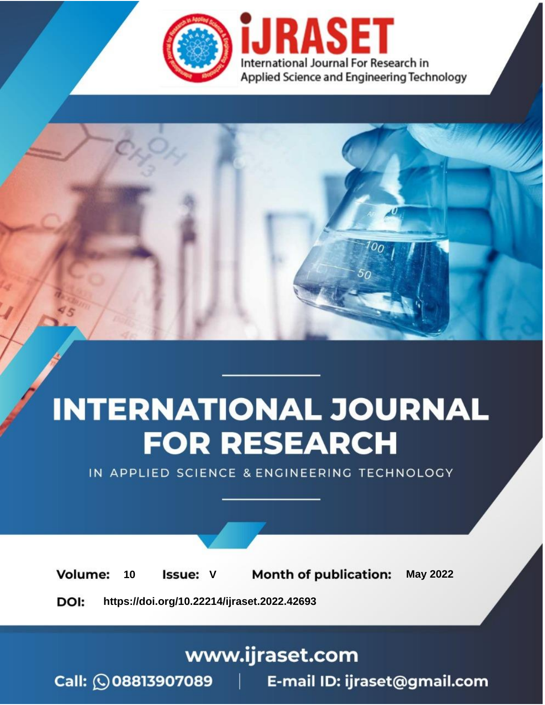

# **INTERNATIONAL JOURNAL FOR RESEARCH**

IN APPLIED SCIENCE & ENGINEERING TECHNOLOGY

Volume: **Month of publication: May 2022** 10 **Issue: V** 

DOI: https://doi.org/10.22214/ijraset.2022.42693

www.ijraset.com

Call: 008813907089 | E-mail ID: ijraset@gmail.com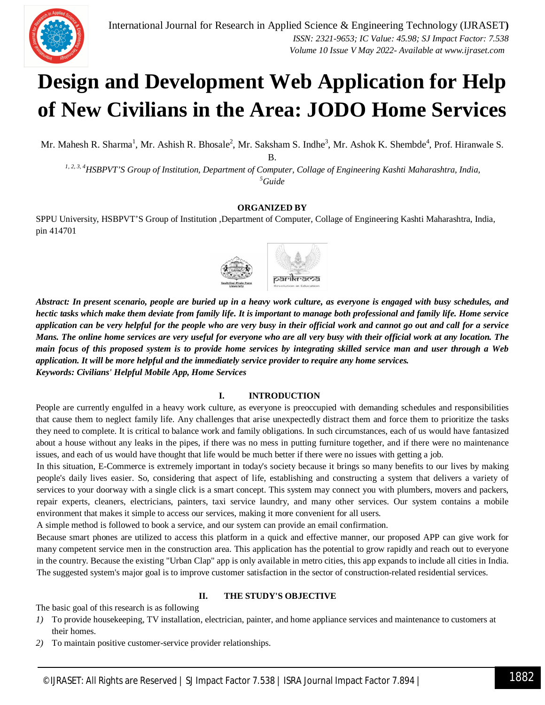

### **Design and Development Web Application for Help of New Civilians in the Area: JODO Home Services**

Mr. Mahesh R. Sharma<sup>1</sup>, Mr. Ashish R. Bhosale<sup>2</sup>, Mr. Saksham S. Indhe<sup>3</sup>, Mr. Ashok K. Shembde<sup>4</sup>, Prof. Hiranwale S.

B.

*1, 2, 3, 4HSBPVT'S Group of Institution, Department of Computer, Collage of Engineering Kashti Maharashtra, India, <sup>5</sup>Guide*

#### **ORGANIZED BY**

SPPU University, HSBPVT'S Group of Institution ,Department of Computer, Collage of Engineering Kashti Maharashtra, India, pin 414701



*Abstract: In present scenario, people are buried up in a heavy work culture, as everyone is engaged with busy schedules, and hectic tasks which make them deviate from family life. It is important to manage both professional and family life. Home service application can be very helpful for the people who are very busy in their official work and cannot go out and call for a service Mans. The online home services are very useful for everyone who are all very busy with their official work at any location. The main focus of this proposed system is to provide home services by integrating skilled service man and user through a Web application. It will be more helpful and the immediately service provider to require any home services. Keywords: Civilians' Helpful Mobile App, Home Services*

#### **I. INTRODUCTION**

People are currently engulfed in a heavy work culture, as everyone is preoccupied with demanding schedules and responsibilities that cause them to neglect family life. Any challenges that arise unexpectedly distract them and force them to prioritize the tasks they need to complete. It is critical to balance work and family obligations. In such circumstances, each of us would have fantasized about a house without any leaks in the pipes, if there was no mess in putting furniture together, and if there were no maintenance issues, and each of us would have thought that life would be much better if there were no issues with getting a job.

In this situation, E-Commerce is extremely important in today's society because it brings so many benefits to our lives by making people's daily lives easier. So, considering that aspect of life, establishing and constructing a system that delivers a variety of services to your doorway with a single click is a smart concept. This system may connect you with plumbers, movers and packers, repair experts, cleaners, electricians, painters, taxi service laundry, and many other services. Our system contains a mobile environment that makes it simple to access our services, making it more convenient for all users.

A simple method is followed to book a service, and our system can provide an email confirmation.

Because smart phones are utilized to access this platform in a quick and effective manner, our proposed APP can give work for many competent service men in the construction area. This application has the potential to grow rapidly and reach out to everyone in the country. Because the existing "Urban Clap" app is only available in metro cities, this app expands to include all cities in India. The suggested system's major goal is to improve customer satisfaction in the sector of construction-related residential services.

#### **II. THE STUDY'S OBJECTIVE**

The basic goal of this research is as following

- *1)* To provide housekeeping, TV installation, electrician, painter, and home appliance services and maintenance to customers at their homes.
- *2)* To maintain positive customer-service provider relationships.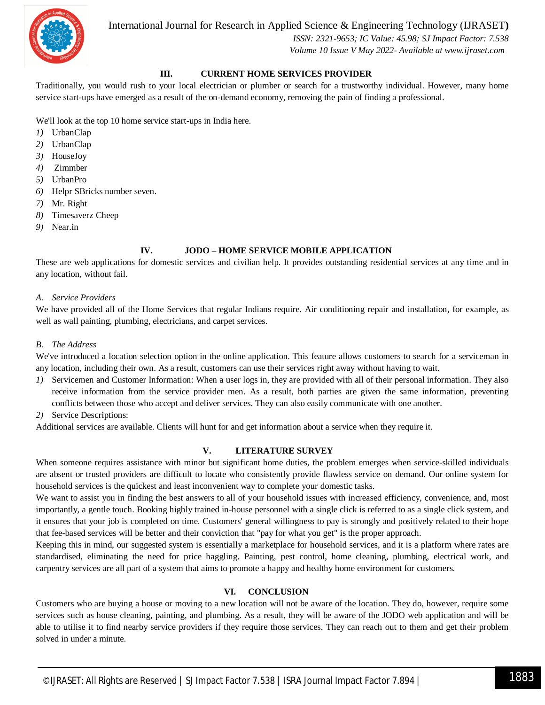

International Journal for Research in Applied Science & Engineering Technology (IJRASET**)**

 *ISSN: 2321-9653; IC Value: 45.98; SJ Impact Factor: 7.538 Volume 10 Issue V May 2022- Available at www.ijraset.com*

#### **III. CURRENT HOME SERVICES PROVIDER**

Traditionally, you would rush to your local electrician or plumber or search for a trustworthy individual. However, many home service start-ups have emerged as a result of the on-demand economy, removing the pain of finding a professional.

We'll look at the top 10 home service start-ups in India here.

- *1)* UrbanClap
- *2)* UrbanClap
- *3)* HouseJoy
- *4)* Zimmber
- *5)* UrbanPro
- *6)* Helpr SBricks number seven.
- *7)* Mr. Right
- *8)* Timesaverz Cheep
- *9)* Near.in

#### **IV. JODO – HOME SERVICE MOBILE APPLICATION**

These are web applications for domestic services and civilian help. It provides outstanding residential services at any time and in any location, without fail.

#### *A. Service Providers*

We have provided all of the Home Services that regular Indians require. Air conditioning repair and installation, for example, as well as wall painting, plumbing, electricians, and carpet services.

#### *B. The Address*

We've introduced a location selection option in the online application. This feature allows customers to search for a serviceman in any location, including their own. As a result, customers can use their services right away without having to wait.

- *1)* Servicemen and Customer Information: When a user logs in, they are provided with all of their personal information. They also receive information from the service provider men. As a result, both parties are given the same information, preventing conflicts between those who accept and deliver services. They can also easily communicate with one another.
- *2)* Service Descriptions:

Additional services are available. Clients will hunt for and get information about a service when they require it.

#### **V. LITERATURE SURVEY**

When someone requires assistance with minor but significant home duties, the problem emerges when service-skilled individuals are absent or trusted providers are difficult to locate who consistently provide flawless service on demand. Our online system for household services is the quickest and least inconvenient way to complete your domestic tasks.

We want to assist you in finding the best answers to all of your household issues with increased efficiency, convenience, and, most importantly, a gentle touch. Booking highly trained in-house personnel with a single click is referred to as a single click system, and it ensures that your job is completed on time. Customers' general willingness to pay is strongly and positively related to their hope that fee-based services will be better and their conviction that "pay for what you get" is the proper approach.

Keeping this in mind, our suggested system is essentially a marketplace for household services, and it is a platform where rates are standardised, eliminating the need for price haggling. Painting, pest control, home cleaning, plumbing, electrical work, and carpentry services are all part of a system that aims to promote a happy and healthy home environment for customers.

#### **VI. CONCLUSION**

Customers who are buying a house or moving to a new location will not be aware of the location. They do, however, require some services such as house cleaning, painting, and plumbing. As a result, they will be aware of the JODO web application and will be able to utilise it to find nearby service providers if they require those services. They can reach out to them and get their problem solved in under a minute.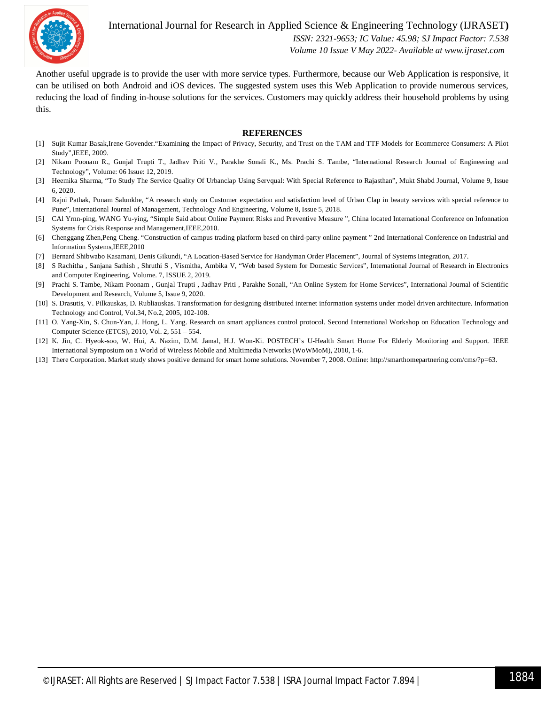

International Journal for Research in Applied Science & Engineering Technology (IJRASET**)**

 *ISSN: 2321-9653; IC Value: 45.98; SJ Impact Factor: 7.538 Volume 10 Issue V May 2022- Available at www.ijraset.com*

Another useful upgrade is to provide the user with more service types. Furthermore, because our Web Application is responsive, it can be utilised on both Android and iOS devices. The suggested system uses this Web Application to provide numerous services, reducing the load of finding in-house solutions for the services. Customers may quickly address their household problems by using this.

#### **REFERENCES**

- [1] Sujit Kumar Basak,Irene Govender."Examining the Impact of Privacy, Security, and Trust on the TAM and TTF Models for Ecommerce Consumers: A Pilot Study",IEEE, 2009.
- [2] Nikam Poonam R., Gunjal Trupti T., Jadhav Priti V., Parakhe Sonali K., Ms. Prachi S. Tambe, "International Research Journal of Engineering and Technology", Volume: 06 Issue: 12, 2019.
- [3] Heemika Sharma, "To Study The Service Quality Of Urbanclap Using Servqual: With Special Reference to Rajasthan", Mukt Shabd Journal, Volume 9, Issue 6, 2020.
- [4] Rajni Pathak, Punam Salunkhe, "A research study on Customer expectation and satisfaction level of Urban Clap in beauty services with special reference to Pune", International Journal of Management, Technology And Engineering, Volume 8, Issue 5, 2018.
- [5] CAl Yrnn-ping, WANG Yu-ying, "Simple Said about Online Payment Risks and Preventive Measure ", China located International Conference on Infonnation Systems for Crisis Response and Management,IEEE,2010.
- [6] Chenggang Zhen,Peng Cheng. "Construction of campus trading platform based on third-party online payment " 2nd International Conference on Industrial and Information Systems,IEEE,2010
- [7] Bernard Shibwabo Kasamani, Denis Gikundi, "A Location-Based Service for Handyman Order Placement", Journal of Systems Integration, 2017.
- [8] S Rachitha , Sanjana Sathish , Shruthi S , Vismitha, Ambika V, "Web based System for Domestic Services", International Journal of Research in Electronics and Computer Engineering, Volume. 7, ISSUE 2, 2019.
- [9] Prachi S. Tambe, Nikam Poonam , Gunjal Trupti , Jadhav Priti , Parakhe Sonali, "An Online System for Home Services", International Journal of Scientific Development and Research, Volume 5, Issue 9, 2020.
- [10] S. Drasutis, V. Pilkauskas, D. Rubliauskas. Transformation for designing distributed internet information systems under model driven architecture. Information Technology and Control, Vol.34, No.2, 2005, 102-108.
- [11] O. Yang-Xin, S. Chun-Yan, J. Hong, L. Yang. Research on smart appliances control protocol. Second International Workshop on Education Technology and Computer Science (ETCS), 2010, Vol. 2, 551 – 554.
- [12] K. Jin, C. Hyeok-soo, W. Hui, A. Nazim, D.M. Jamal, H.J. Won-Ki. POSTECH's U-Health Smart Home For Elderly Monitoring and Support. IEEE International Symposium on a World of Wireless Mobile and Multimedia Networks (WoWMoM), 2010, 1-6.
- [13] There Corporation. Market study shows positive demand for smart home solutions. November 7, 2008. Online: http://smarthomepartnering.com/cms/?p=63.